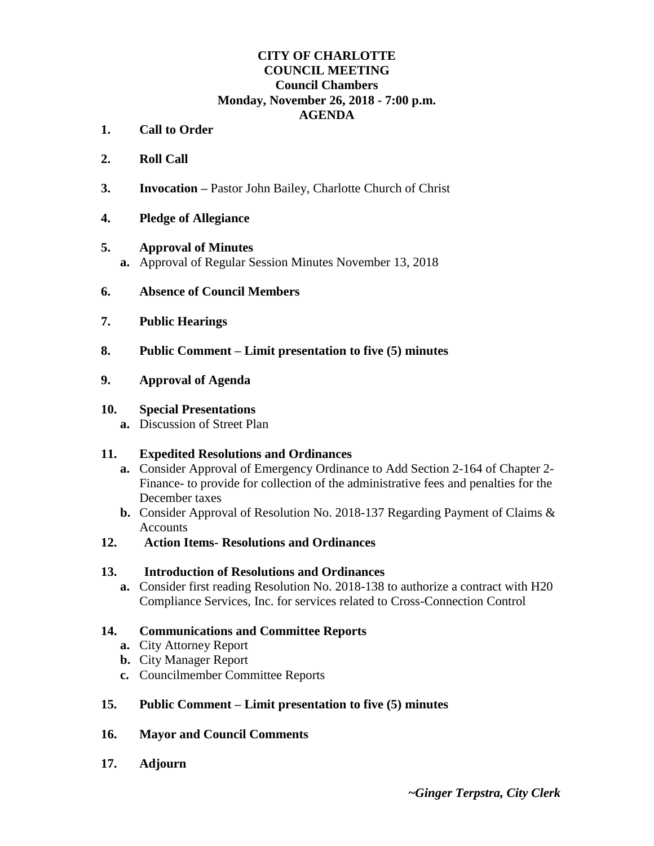## **CITY OF CHARLOTTE COUNCIL MEETING Council Chambers Monday, November 26, 2018 - 7:00 p.m. AGENDA**

- **1. Call to Order**
- **2. Roll Call**
- **3. Invocation –** Pastor John Bailey, Charlotte Church of Christ
- **4. Pledge of Allegiance**

### **5. Approval of Minutes**

- **a.** Approval of Regular Session Minutes November 13, 2018
- **6. Absence of Council Members**
- **7. Public Hearings**
- **8. Public Comment – Limit presentation to five (5) minutes**
- **9. Approval of Agenda**

### **10. Special Presentations**

**a.** Discussion of Street Plan

## **11. Expedited Resolutions and Ordinances**

- **a.** Consider Approval of Emergency Ordinance to Add Section 2-164 of Chapter 2- Finance- to provide for collection of the administrative fees and penalties for the December taxes
- **b.** Consider Approval of Resolution No. 2018-137 Regarding Payment of Claims & Accounts
- **12. Action Items- Resolutions and Ordinances**

### **13. Introduction of Resolutions and Ordinances**

**a.** Consider first reading Resolution No. 2018-138 to authorize a contract with H20 Compliance Services, Inc. for services related to Cross-Connection Control

## **14. Communications and Committee Reports**

- **a.** City Attorney Report
- **b.** City Manager Report
- **c.** Councilmember Committee Reports
- **15. Public Comment – Limit presentation to five (5) minutes**
- **16. Mayor and Council Comments**
- **17. Adjourn**